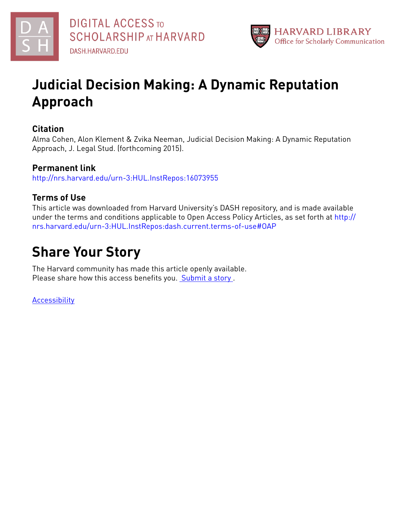



## **Judicial Decision Making: A Dynamic Reputation Approach**

## **Citation**

Alma Cohen, Alon Klement & Zvika Neeman, Judicial Decision Making: A Dynamic Reputation Approach, J. Legal Stud. (forthcoming 2015).

## **Permanent link**

<http://nrs.harvard.edu/urn-3:HUL.InstRepos:16073955>

## **Terms of Use**

This article was downloaded from Harvard University's DASH repository, and is made available under the terms and conditions applicable to Open Access Policy Articles, as set forth at [http://](http://nrs.harvard.edu/urn-3:HUL.InstRepos:dash.current.terms-of-use#OAP) [nrs.harvard.edu/urn-3:HUL.InstRepos:dash.current.terms-of-use#OAP](http://nrs.harvard.edu/urn-3:HUL.InstRepos:dash.current.terms-of-use#OAP)

# **Share Your Story**

The Harvard community has made this article openly available. Please share how this access benefits you. [Submit](http://osc.hul.harvard.edu/dash/open-access-feedback?handle=&title=Judicial%20Decision%20Making:%20A%20Dynamic%20Reputation%20Approach&community=1/7&collection=1/8&owningCollection1/8&harvardAuthors=1723ba30c4418c8e7659cb32e4d8ff8d&department) a story .

[Accessibility](https://dash.harvard.edu/pages/accessibility)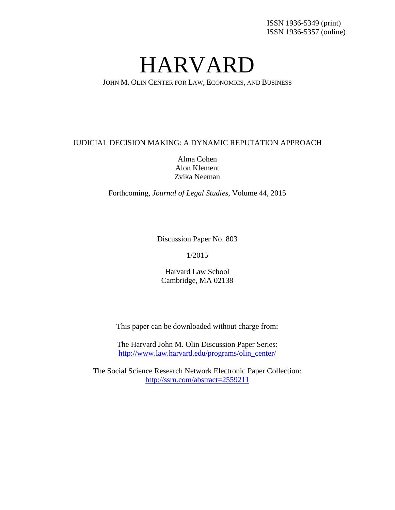# HARVARD

JOHN M. OLIN CENTER FOR LAW, ECONOMICS, AND BUSINESS

#### JUDICIAL DECISION MAKING: A DYNAMIC REPUTATION APPROACH

Alma Cohen Alon Klement Zvika Neeman

Forthcoming, *Journal of Legal Studies*, Volume 44, 2015

Discussion Paper No. 803

1/2015

Harvard Law School Cambridge, MA 02138

This paper can be downloaded without charge from:

The Harvard John M. Olin Discussion Paper Series: [http://www.law.harvard.edu/programs/olin\\_center/](http://www.law.harvard.edu/programs/olin_center/)

The Social Science Research Network Electronic Paper Collection: <http://ssrn.com/abstract=2559211>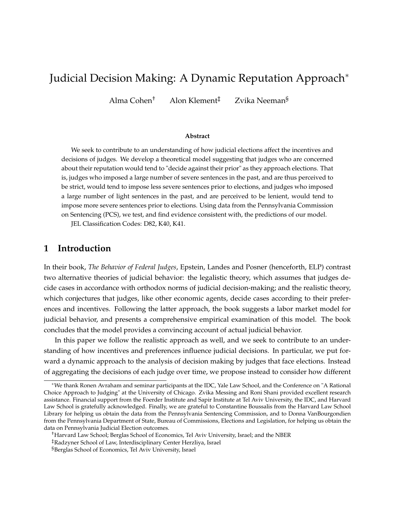## Judicial Decision Making: A Dynamic Reputation Approach<sup>\*</sup>

Alma Cohen† Alon Klement‡ Zvika Neeman§

#### **Abstract**

We seek to contribute to an understanding of how judicial elections affect the incentives and decisions of judges. We develop a theoretical model suggesting that judges who are concerned about their reputation would tend to "decide against their prior" as they approach elections. That is, judges who imposed a large number of severe sentences in the past, and are thus perceived to be strict, would tend to impose less severe sentences prior to elections, and judges who imposed a large number of light sentences in the past, and are perceived to be lenient, would tend to impose more severe sentences prior to elections. Using data from the Pennsylvania Commission on Sentencing (PCS), we test, and find evidence consistent with, the predictions of our model.

JEL Classification Codes: D82, K40, K41.

## **1 Introduction**

In their book, *The Behavior of Federal Judges*, Epstein, Landes and Posner (henceforth, ELP) contrast two alternative theories of judicial behavior: the legalistic theory, which assumes that judges decide cases in accordance with orthodox norms of judicial decision-making; and the realistic theory, which conjectures that judges, like other economic agents, decide cases according to their preferences and incentives. Following the latter approach, the book suggests a labor market model for judicial behavior, and presents a comprehensive empirical examination of this model. The book concludes that the model provides a convincing account of actual judicial behavior.

In this paper we follow the realistic approach as well, and we seek to contribute to an understanding of how incentives and preferences influence judicial decisions. In particular, we put forward a dynamic approach to the analysis of decision making by judges that face elections. Instead of aggregating the decisions of each judge over time, we propose instead to consider how different

<sup>⇤</sup>We thank Ronen Avraham and seminar participants at the IDC, Yale Law School, and the Conference on "A Rational Choice Approach to Judging" at the University of Chicago. Zvika Messing and Roni Shani provided excellent research assistance. Financial support from the Foerder Institute and Sapir Institute at Tel Aviv University, the IDC, and Harvard Law School is gratefully acknowledged. Finally, we are grateful to Constantine Boussalis from the Harvard Law School Library for helping us obtain the data from the Pennsylvania Sentencing Commission, and to Donna VanBourgondien from the Pennsylvania Department of State, Bureau of Commissions, Elections and Legislation, for helping us obtain the data on Pennsylvania Judicial Election outcomes.

<sup>†</sup>Harvard Law School; Berglas School of Economics, Tel Aviv University, Israel; and the NBER

<sup>‡</sup>Radzyner School of Law, Interdisciplinary Center Herzliya, Israel

<sup>§</sup>Berglas School of Economics, Tel Aviv University, Israel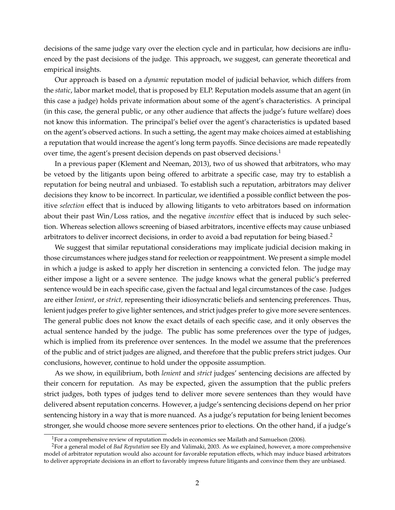decisions of the same judge vary over the election cycle and in particular, how decisions are influenced by the past decisions of the judge. This approach, we suggest, can generate theoretical and empirical insights.

Our approach is based on a *dynamic* reputation model of judicial behavior, which differs from the *static*, labor market model, that is proposed by ELP. Reputation models assume that an agent (in this case a judge) holds private information about some of the agent's characteristics. A principal (in this case, the general public, or any other audience that affects the judge's future welfare) does not know this information. The principal's belief over the agent's characteristics is updated based on the agent's observed actions. In such a setting, the agent may make choices aimed at establishing a reputation that would increase the agent's long term payoffs. Since decisions are made repeatedly over time, the agent's present decision depends on past observed decisions.<sup>1</sup>

In a previous paper (Klement and Neeman, 2013), two of us showed that arbitrators, who may be vetoed by the litigants upon being offered to arbitrate a specific case, may try to establish a reputation for being neutral and unbiased. To establish such a reputation, arbitrators may deliver decisions they know to be incorrect. In particular, we identified a possible conflict between the positive *selection* effect that is induced by allowing litigants to veto arbitrators based on information about their past Win/Loss ratios, and the negative *incentive* effect that is induced by such selection. Whereas selection allows screening of biased arbitrators, incentive effects may cause unbiased arbitrators to deliver incorrect decisions, in order to avoid a bad reputation for being biased.<sup>2</sup>

We suggest that similar reputational considerations may implicate judicial decision making in those circumstances where judges stand for reelection or reappointment. We present a simple model in which a judge is asked to apply her discretion in sentencing a convicted felon. The judge may either impose a light or a severe sentence. The judge knows what the general public's preferred sentence would be in each specific case, given the factual and legal circumstances of the case. Judges are either *lenient*, or *strict,* representing their idiosyncratic beliefs and sentencing preferences. Thus, lenient judges prefer to give lighter sentences, and strict judges prefer to give more severe sentences. The general public does not know the exact details of each specific case, and it only observes the actual sentence handed by the judge. The public has some preferences over the type of judges, which is implied from its preference over sentences. In the model we assume that the preferences of the public and of strict judges are aligned, and therefore that the public prefers strict judges. Our conclusions, however, continue to hold under the opposite assumption.

As we show, in equilibrium, both *lenient* and *strict* judges' sentencing decisions are affected by their concern for reputation. As may be expected, given the assumption that the public prefers strict judges, both types of judges tend to deliver more severe sentences than they would have delivered absent reputation concerns. However, a judge's sentencing decisions depend on her prior sentencing history in a way that is more nuanced. As a judge's reputation for being lenient becomes stronger, she would choose more severe sentences prior to elections. On the other hand, if a judge's

<sup>&</sup>lt;sup>1</sup>For a comprehensive review of reputation models in economics see Mailath and Samuelson (2006).

<sup>2</sup>For a general model of *Bad Reputation* see Ely and Valimaki, 2003. As we explained, however, a more comprehensive model of arbitrator reputation would also account for favorable reputation effects, which may induce biased arbitrators to deliver appropriate decisions in an effort to favorably impress future litigants and convince them they are unbiased.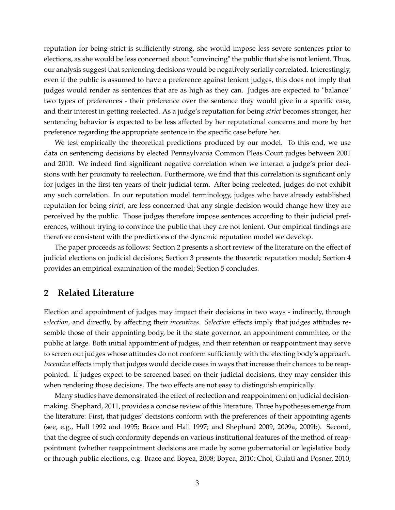reputation for being strict is sufficiently strong, she would impose less severe sentences prior to elections, as she would be less concerned about "convincing" the public that she is not lenient. Thus, our analysis suggest that sentencing decisions would be negatively serially correlated. Interestingly, even if the public is assumed to have a preference against lenient judges, this does not imply that judges would render as sentences that are as high as they can. Judges are expected to "balance" two types of preferences - their preference over the sentence they would give in a specific case, and their interest in getting reelected. As a judge's reputation for being *strict* becomes stronger, her sentencing behavior is expected to be less affected by her reputational concerns and more by her preference regarding the appropriate sentence in the specific case before her.

We test empirically the theoretical predictions produced by our model. To this end, we use data on sentencing decisions by elected Pennsylvania Common Pleas Court judges between 2001 and 2010. We indeed find significant negative correlation when we interact a judge's prior decisions with her proximity to reelection. Furthermore, we find that this correlation is significant only for judges in the first ten years of their judicial term. After being reelected, judges do not exhibit any such correlation. In our reputation model terminology, judges who have already established reputation for being *strict*, are less concerned that any single decision would change how they are perceived by the public. Those judges therefore impose sentences according to their judicial preferences, without trying to convince the public that they are not lenient. Our empirical findings are therefore consistent with the predictions of the dynamic reputation model we develop.

The paper proceeds as follows: Section 2 presents a short review of the literature on the effect of judicial elections on judicial decisions; Section 3 presents the theoretic reputation model; Section 4 provides an empirical examination of the model; Section 5 concludes.

#### **2 Related Literature**

Election and appointment of judges may impact their decisions in two ways - indirectly, through *selection*, and directly, by affecting their *incentives*. *Selection* effects imply that judges attitudes resemble those of their appointing body, be it the state governor, an appointment committee, or the public at large. Both initial appointment of judges, and their retention or reappointment may serve to screen out judges whose attitudes do not conform sufficiently with the electing body's approach. *Incentive* effects imply that judges would decide cases in ways that increase their chances to be reappointed. If judges expect to be screened based on their judicial decisions, they may consider this when rendering those decisions. The two effects are not easy to distinguish empirically.

Many studies have demonstrated the effect of reelection and reappointment on judicial decisionmaking. Shephard, 2011, provides a concise review of this literature. Three hypotheses emerge from the literature: First, that judges' decisions conform with the preferences of their appointing agents (see, e.g., Hall 1992 and 1995; Brace and Hall 1997; and Shephard 2009, 2009a, 2009b). Second, that the degree of such conformity depends on various institutional features of the method of reappointment (whether reappointment decisions are made by some gubernatorial or legislative body or through public elections, e.g. Brace and Boyea, 2008; Boyea, 2010; Choi, Gulati and Posner, 2010;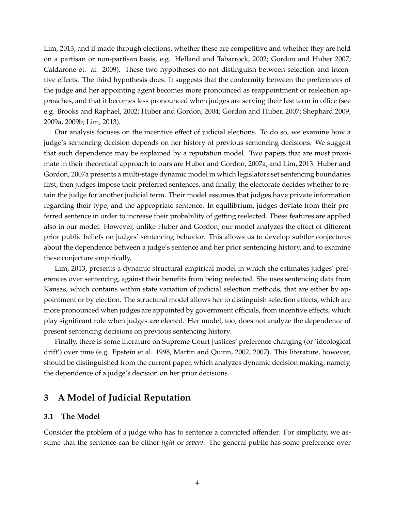Lim, 2013; and if made through elections, whether these are competitive and whether they are held on a partisan or non-partisan basis, e.g. Helland and Tabarrock, 2002; Gordon and Huber 2007; Caldarone et. al. 2009). These two hypotheses do not distinguish between selection and incentive effects. The third hypothesis does. It suggests that the conformity between the preferences of the judge and her appointing agent becomes more pronounced as reappointment or reelection approaches, and that it becomes less pronounced when judges are serving their last term in office (see e.g. Brooks and Raphael, 2002; Huber and Gordon, 2004; Gordon and Huber, 2007; Shephard 2009, 2009a, 2009b; Lim, 2013).

Our analysis focuses on the incentive effect of judicial elections. To do so, we examine how a judge's sentencing decision depends on her history of previous sentencing decisions. We suggest that such dependence may be explained by a reputation model. Two papers that are most proximate in their theoretical approach to ours are Huber and Gordon, 2007a, and Lim, 2013. Huber and Gordon, 2007a presents a multi-stage dynamic model in which legislators set sentencing boundaries first, then judges impose their preferred sentences, and finally, the electorate decides whether to retain the judge for another judicial term. Their model assumes that judges have private information regarding their type, and the appropriate sentence. In equilibrium, judges deviate from their preferred sentence in order to increase their probability of getting reelected. These features are applied also in our model. However, unlike Huber and Gordon, our model analyzes the effect of different prior public beliefs on judges' sentencing behavior. This allows us to develop subtler conjectures about the dependence between a judge's sentence and her prior sentencing history, and to examine these conjecture empirically.

Lim, 2013, presents a dynamic structural empirical model in which she estimates judges' preferences over sentencing, against their benefits from being reelected. She uses sentencing data from Kansas, which contains within state variation of judicial selection methods, that are either by appointment or by election. The structural model allows her to distinguish selection effects, which are more pronounced when judges are appointed by government officials, from incentive effects, which play significant role when judges are elected. Her model, too, does not analyze the dependence of present sentencing decisions on previous sentencing history.

Finally, there is some literature on Supreme Court Justices' preference changing (or 'ideological drift') over time (e.g. Epstein et al. 1998, Martin and Quinn, 2002, 2007). This literature, however, should be distinguished from the current paper, which analyzes dynamic decision making, namely, the dependence of a judge's decision on her prior decisions.

### **3 A Model of Judicial Reputation**

#### **3.1 The Model**

Consider the problem of a judge who has to sentence a convicted offender. For simplicity, we assume that the sentence can be either *light* or *severe*. The general public has some preference over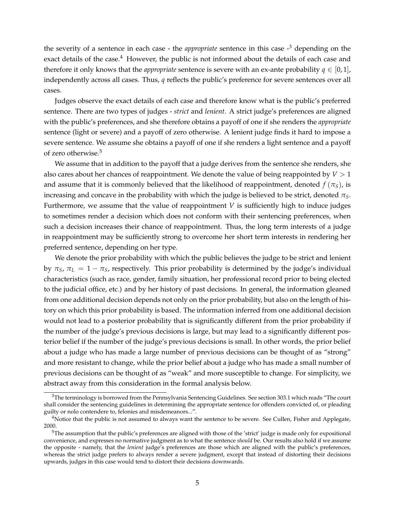the severity of a sentence in each case - the *appropriate* sentence in this case -3 depending on the exact details of the case.<sup>4</sup> However, the public is not informed about the details of each case and therefore it only knows that the *appropriate* sentence is severe with an ex-ante probability  $q \in [0, 1]$ , independently across all cases. Thus, *q* reflects the public's preference for severe sentences over all cases.

Judges observe the exact details of each case and therefore know what is the public's preferred sentence. There are two types of judges - *strict* and *lenient*. A strict judge's preferences are aligned with the public's preferences, and she therefore obtains a payoff of one if she renders the *appropriate* sentence (light or severe) and a payoff of zero otherwise. A lenient judge finds it hard to impose a severe sentence. We assume she obtains a payoff of one if she renders a light sentence and a payoff of zero otherwise.5

We assume that in addition to the payoff that a judge derives from the sentence she renders, she also cares about her chances of reappointment. We denote the value of being reappointed by *V >* 1 and assume that it is commonly believed that the likelihood of reappointment, denoted  $f(\pi_S)$ , is increasing and concave in the probability with which the judge is believed to be strict, denoted  $\pi<sub>S</sub>$ . Furthermore, we assume that the value of reappointment *V* is sufficiently high to induce judges to sometimes render a decision which does not conform with their sentencing preferences, when such a decision increases their chance of reappointment. Thus, the long term interests of a judge in reappointment may be sufficiently strong to overcome her short term interests in rendering her preferred sentence, depending on her type.

We denote the prior probability with which the public believes the judge to be strict and lenient by  $\pi_S$ ,  $\pi_L = 1 - \pi_S$ , respectively. This prior probability is determined by the judge's individual characteristics (such as race, gender, family situation, her professional record prior to being elected to the judicial office, etc.) and by her history of past decisions. In general, the information gleaned from one additional decision depends not only on the prior probability, but also on the length of history on which this prior probability is based. The information inferred from one additional decision would not lead to a posterior probability that is significantly different from the prior probability if the number of the judge's previous decisions is large, but may lead to a significantly different posterior belief if the number of the judge's previous decisions is small. In other words, the prior belief about a judge who has made a large number of previous decisions can be thought of as "strong" and more resistant to change, while the prior belief about a judge who has made a small number of previous decisions can be thought of as "weak" and more susceptible to change. For simplicity, we abstract away from this consideration in the formal analysis below.

 $3$ The terminology is borrowed from the Pennsylvania Sentencing Guidelines. See section 303.1 which reads "The court shall consider the sentencing guidelines in determining the appropriate sentence for offenders convicted of, or pleading guilty or nolo contendere to, felonies and misdemeanors...".

<sup>&</sup>lt;sup>4</sup>Notice that the public is not assumed to always want the sentence to be severe. See Cullen, Fisher and Applegate, 2000.

<sup>&</sup>lt;sup>5</sup>The assumption that the public's preferences are aligned with those of the 'strict' judge is made only for expositional convenience, and expresses no normative judgment as to what the sentence *should* be. Our results also hold if we assume the opposite - namely, that the *lenient* judge's preferences are those which are aligned with the public's preferences, whereas the strict judge prefers to always render a severe judgment, except that instead of distorting their decisions upwards, judges in this case would tend to distort their decisions downwards.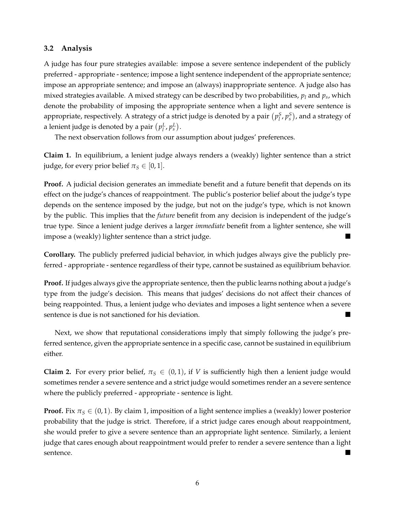#### **3.2 Analysis**

A judge has four pure strategies available: impose a severe sentence independent of the publicly preferred - appropriate - sentence; impose a light sentence independent of the appropriate sentence; impose an appropriate sentence; and impose an (always) inappropriate sentence. A judge also has mixed strategies available. A mixed strategy can be described by two probabilities, *pl* and *ps*, which denote the probability of imposing the appropriate sentence when a light and severe sentence is appropriate, respectively. A strategy of a strict judge is denoted by a pair  $(p_l^S, p_s^S)$ , and a strategy of a lenient judge is denoted by a pair  $(p_l^L, p_s^L)$ .

The next observation follows from our assumption about judges' preferences.

**Claim 1.** In equilibrium, a lenient judge always renders a (weakly) lighter sentence than a strict judge, for every prior belief  $\pi$ <sup>*S*</sup>  $\in$  [0, 1].

Proof. A judicial decision generates an immediate benefit and a future benefit that depends on its effect on the judge's chances of reappointment. The public's posterior belief about the judge's type depends on the sentence imposed by the judge, but not on the judge's type, which is not known by the public. This implies that the *future* benefit from any decision is independent of the judge's true type. Since a lenient judge derives a larger *immediate* benefit from a lighter sentence, she will impose a (weakly) lighter sentence than a strict judge.  $\blacksquare$ 

**Corollary.** The publicly preferred judicial behavior, in which judges always give the publicly preferred - appropriate - sentence regardless of their type, cannot be sustained as equilibrium behavior.

**Proof.** If judges always give the appropriate sentence, then the public learns nothing about a judge's type from the judge's decision. This means that judges' decisions do not affect their chances of being reappointed. Thus, a lenient judge who deviates and imposes a light sentence when a severe sentence is due is not sanctioned for his deviation.

Next, we show that reputational considerations imply that simply following the judge's preferred sentence, given the appropriate sentence in a specific case, cannot be sustained in equilibrium either.

**Claim 2.** For every prior belief,  $\pi_S \in (0,1)$ , if *V* is sufficiently high then a lenient judge would sometimes render a severe sentence and a strict judge would sometimes render an a severe sentence where the publicly preferred - appropriate - sentence is light.

**Proof.** Fix  $\pi_S \in (0, 1)$ . By claim 1, imposition of a light sentence implies a (weakly) lower posterior probability that the judge is strict. Therefore, if a strict judge cares enough about reappointment, she would prefer to give a severe sentence than an appropriate light sentence. Similarly, a lenient judge that cares enough about reappointment would prefer to render a severe sentence than a light sentence.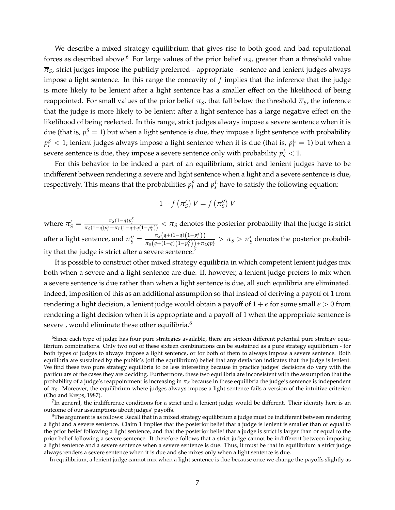We describe a mixed strategy equilibrium that gives rise to both good and bad reputational forces as described above.<sup>6</sup> For large values of the prior belief  $\pi_S$ , greater than a threshold value  $\overline{\pi}_s$ , strict judges impose the publicly preferred - appropriate - sentence and lenient judges always impose a light sentence. In this range the concavity of *f* implies that the inference that the judge is more likely to be lenient after a light sentence has a smaller effect on the likelihood of being reappointed. For small values of the prior belief  $\pi_S$ , that fall below the threshold  $\overline{\pi}_S$ , the inference that the judge is more likely to be lenient after a light sentence has a large negative effect on the likelihood of being reelected. In this range, strict judges always impose a severe sentence when it is due (that is,  $p_s^S = 1$ ) but when a light sentence is due, they impose a light sentence with probability  $p_l^S < 1$ ; lenient judges always impose a light sentence when it is due (that is,  $p_l^L = 1$ ) but when a severe sentence is due, they impose a severe sentence only with probability  $p_{\scriptscriptstyle S}^L < 1.$ 

For this behavior to be indeed a part of an equilibrium, strict and lenient judges have to be indifferent between rendering a severe and light sentence when a light and a severe sentence is due, respectively. This means that the probabilities  $p_l^S$  and  $p_s^L$  have to satisfy the following equation:

$$
1 + f\left(\pi_S'\right)V = f\left(\pi_S''\right)V
$$

where  $\pi'_{S} = \frac{\pi_{S}(1-q)p_1^{S}}{\pi_{S}(1-q)p_1^{S} + \pi_{L}(1-q+q(1-p_S^L))} < \pi_{S}$  denotes the posterior probability that the judge is strict after a light sentence, and  $\pi_S'' = \frac{\pi_S(q + (1-q)(1-p_1^S))}{\pi_S(q + (1-q)(1-p_1^S)) + \pi_I}$  $\frac{n_S(q+(1-q)(1-p_i^S)) + n_Lqp_s^L}{n_S(q+(1-q)(1-p_i^S)) + n_Lqp_s^L} > n_S > n_S^I$  denotes the posterior probability that the judge is strict after a severe se

It is possible to construct other mixed strategy equilibria in which competent lenient judges mix both when a severe and a light sentence are due. If, however, a lenient judge prefers to mix when a severe sentence is due rather than when a light sentence is due, all such equilibria are eliminated. Indeed, imposition of this as an additional assumption so that instead of deriving a payoff of 1 from rendering a light decision, a lenient judge would obtain a payoff of  $1 + \epsilon$  for some small  $\epsilon > 0$  from rendering a light decision when it is appropriate and a payoff of 1 when the appropriate sentence is severe, would eliminate these other equilibria.<sup>8</sup>

 $6$ Since each type of judge has four pure strategies available, there are sixteen different potential pure strategy equilibrium combinations. Only two out of these sixteen combinations can be sustained as a pure strategy equilibrium - for both types of judges to always impose a light sentence, or for both of them to always impose a severe sentence. Both equilibria are sustained by the public's (off the equilibrium) belief that any deviation indicates that the judge is lenient. We find these two pure strategy equilibria to be less interesting because in practice judges' decisions do vary with the particulars of the cases they are deciding. Furthermore, these two equilibria are inconsistent with the assumption that the probability of a judge's reappointment is increasing in  $\pi_S$  because in these equilibria the judge's sentence is independent of  $\pi_S$ . Moreover, the equilibrium where judges always impose a light sentence fails a version of the intuitive criterion (Cho and Kreps, 1987).

 $<sup>7</sup>$ In general, the indifference conditions for a strict and a lenient judge would be different. Their identity here is an</sup> outcome of our assumptions about judges' payoffs.

 $8$ The argument is as follows: Recall that in a mixed strategy equilibrium a judge must be indifferent between rendering a light and a severe sentence. Claim 1 implies that the posterior belief that a judge is lenient is smaller than or equal to the prior belief following a light sentence, and that the posterior belief that a judge is strict is larger than or equal to the prior belief following a severe sentence. It therefore follows that a strict judge cannot be indifferent between imposing a light sentence and a severe sentence when a severe sentence is due. Thus, it must be that in equilibrium a strict judge always renders a severe sentence when it is due and she mixes only when a light sentence is due.

In equilibrium, a lenient judge cannot mix when a light sentence is due because once we change the payoffs slightly as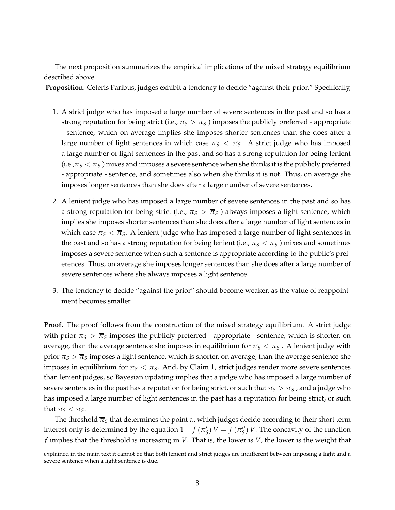The next proposition summarizes the empirical implications of the mixed strategy equilibrium described above.

**Proposition**. Ceteris Paribus, judges exhibit a tendency to decide "against their prior." Specifically,

- 1. A strict judge who has imposed a large number of severe sentences in the past and so has a strong reputation for being strict (i.e.,  $\pi_S > \overline{\pi}_S$ ) imposes the publicly preferred - appropriate - sentence, which on average implies she imposes shorter sentences than she does after a large number of light sentences in which case  $\pi_S < \overline{\pi}_S$ . A strict judge who has imposed a large number of light sentences in the past and so has a strong reputation for being lenient (i.e., $\pi_S < \overline{\pi}_S$ ) mixes and imposes a severe sentence when she thinks it is the publicly preferred - appropriate - sentence, and sometimes also when she thinks it is not. Thus, on average she imposes longer sentences than she does after a large number of severe sentences.
- 2. A lenient judge who has imposed a large number of severe sentences in the past and so has a strong reputation for being strict (i.e.,  $\pi_S > \overline{\pi}_S$ ) always imposes a light sentence, which implies she imposes shorter sentences than she does after a large number of light sentences in which case  $\pi_S < \overline{\pi}_S$ . A lenient judge who has imposed a large number of light sentences in the past and so has a strong reputation for being lenient (i.e.,  $\pi_S < \overline{\pi}_S$ ) mixes and sometimes imposes a severe sentence when such a sentence is appropriate according to the public's preferences. Thus, on average she imposes longer sentences than she does after a large number of severe sentences where she always imposes a light sentence.
- 3. The tendency to decide "against the prior" should become weaker, as the value of reappointment becomes smaller.

**Proof.** The proof follows from the construction of the mixed strategy equilibrium. A strict judge with prior  $\pi_S > \overline{\pi}_S$  imposes the publicly preferred - appropriate - sentence, which is shorter, on average, than the average sentence she imposes in equilibrium for  $\pi_S < \overline{\pi}_S$ . A lenient judge with prior  $\pi_S > \overline{\pi}_S$  imposes a light sentence, which is shorter, on average, than the average sentence she imposes in equilibrium for  $\pi<sub>S</sub> < \overline{\pi}<sub>S</sub>$ . And, by Claim 1, strict judges render more severe sentences than lenient judges, so Bayesian updating implies that a judge who has imposed a large number of severe sentences in the past has a reputation for being strict, or such that  $\pi_S > \overline{\pi}_S$ , and a judge who has imposed a large number of light sentences in the past has a reputation for being strict, or such that  $\pi_S < \overline{\pi}_S$ .

The threshold  $\overline{\pi}_S$  that determines the point at which judges decide according to their short term interest only is determined by the equation  $1 + f(\pi_S') V = f(\pi_S'') V$ . The concavity of the function *f* implies that the threshold is increasing in *V*. That is, the lower is *V*, the lower is the weight that

explained in the main text it cannot be that both lenient and strict judges are indifferent between imposing a light and a severe sentence when a light sentence is due.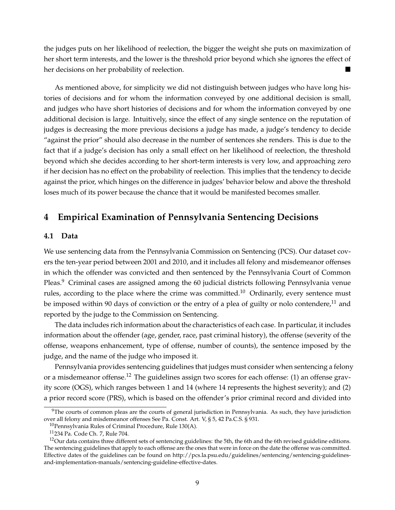the judges puts on her likelihood of reelection, the bigger the weight she puts on maximization of her short term interests, and the lower is the threshold prior beyond which she ignores the effect of her decisions on her probability of reelection.

As mentioned above, for simplicity we did not distinguish between judges who have long histories of decisions and for whom the information conveyed by one additional decision is small, and judges who have short histories of decisions and for whom the information conveyed by one additional decision is large. Intuitively, since the effect of any single sentence on the reputation of judges is decreasing the more previous decisions a judge has made, a judge's tendency to decide "against the prior" should also decrease in the number of sentences she renders. This is due to the fact that if a judge's decision has only a small effect on her likelihood of reelection, the threshold beyond which she decides according to her short-term interests is very low, and approaching zero if her decision has no effect on the probability of reelection. This implies that the tendency to decide against the prior, which hinges on the difference in judges' behavior below and above the threshold loses much of its power because the chance that it would be manifested becomes smaller.

## **4 Empirical Examination of Pennsylvania Sentencing Decisions**

#### **4.1 Data**

We use sentencing data from the Pennsylvania Commission on Sentencing (PCS). Our dataset covers the ten-year period between 2001 and 2010, and it includes all felony and misdemeanor offenses in which the offender was convicted and then sentenced by the Pennsylvania Court of Common Pleas.<sup>9</sup> Criminal cases are assigned among the 60 judicial districts following Pennsylvania venue rules, according to the place where the crime was committed.<sup>10</sup> Ordinarily, every sentence must be imposed within 90 days of conviction or the entry of a plea of guilty or nolo contendere,<sup>11</sup> and reported by the judge to the Commission on Sentencing.

The data includes rich information about the characteristics of each case. In particular, it includes information about the offender (age, gender, race, past criminal history), the offense (severity of the offense, weapons enhancement, type of offense, number of counts), the sentence imposed by the judge, and the name of the judge who imposed it.

Pennsylvania provides sentencing guidelines that judges must consider when sentencing a felony or a misdemeanor offense.<sup>12</sup> The guidelines assign two scores for each offense: (1) an offense gravity score (OGS), which ranges between 1 and 14 (where 14 represents the highest severity); and (2) a prior record score (PRS), which is based on the offender's prior criminal record and divided into

 $9$ The courts of common pleas are the courts of general jurisdiction in Pennsylvania. As such, they have jurisdiction over all felony and misdemeanor offenses See Pa. Const. Art. V, § 5, 42 Pa.C.S. § 931.

 $10$ Pennsylvania Rules of Criminal Procedure, Rule 130(A).

<sup>11234</sup> Pa. Code Ch. 7, Rule 704.

 $12$ Our data contains three different sets of sentencing guidelines: the 5th, the 6th and the 6th revised guideline editions. The sentencing guidelines that apply to each offense are the ones that were in force on the date the offense was committed. Effective dates of the guidelines can be found on http://pcs.la.psu.edu/guidelines/sentencing/sentencing-guidelinesand-implementation-manuals/sentencing-guideline-effective-dates.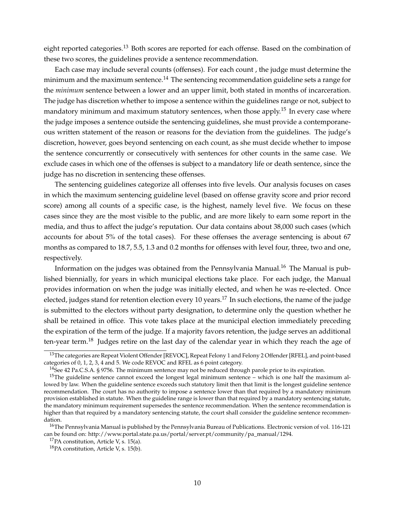eight reported categories.<sup>13</sup> Both scores are reported for each offense. Based on the combination of these two scores, the guidelines provide a sentence recommendation.

Each case may include several counts (offenses). For each count , the judge must determine the minimum and the maximum sentence.<sup>14</sup> The sentencing recommendation guideline sets a range for the *minimum* sentence between a lower and an upper limit, both stated in months of incarceration. The judge has discretion whether to impose a sentence within the guidelines range or not, subject to mandatory minimum and maximum statutory sentences, when those apply.<sup>15</sup> In every case where the judge imposes a sentence outside the sentencing guidelines, she must provide a contemporaneous written statement of the reason or reasons for the deviation from the guidelines. The judge's discretion, however, goes beyond sentencing on each count, as she must decide whether to impose the sentence concurrently or consecutively with sentences for other counts in the same case. We exclude cases in which one of the offenses is subject to a mandatory life or death sentence, since the judge has no discretion in sentencing these offenses.

The sentencing guidelines categorize all offenses into five levels. Our analysis focuses on cases in which the maximum sentencing guideline level (based on offense gravity score and prior record score) among all counts of a specific case, is the highest, namely level five. We focus on these cases since they are the most visible to the public, and are more likely to earn some report in the media, and thus to affect the judge's reputation. Our data contains about 38,000 such cases (which accounts for about 5% of the total cases). For these offenses the average sentencing is about 67 months as compared to 18.7, 5.5, 1.3 and 0.2 months for offenses with level four, three, two and one, respectively.

Information on the judges was obtained from the Pennsylvania Manual.<sup>16</sup> The Manual is published biennially, for years in which municipal elections take place. For each judge, the Manual provides information on when the judge was initially elected, and when he was re-elected. Once elected, judges stand for retention election every 10 years.<sup>17</sup> In such elections, the name of the judge is submitted to the electors without party designation, to determine only the question whether he shall be retained in office. This vote takes place at the municipal election immediately preceding the expiration of the term of the judge. If a majority favors retention, the judge serves an additional ten-year term.<sup>18</sup> Judges retire on the last day of the calendar year in which they reach the age of

<sup>&</sup>lt;sup>13</sup>The categories are Repeat Violent Offender [REVOC], Repeat Felony 1 and Felony 2 Offender [RFEL], and point-based categories of 0, 1, 2, 3, 4 and 5. We code REVOC and RFEL as 6 point category.

<sup>&</sup>lt;sup>14</sup>See 42 Pa.C.S.A. § 9756. The minimum sentence may not be reduced through parole prior to its expiration.

<sup>&</sup>lt;sup>15</sup>The guideline sentence cannot exceed the longest legal minimum sentence – which is one half the maximum allowed by law. When the guideline sentence exceeds such statutory limit then that limit is the longest guideline sentence recommendation. The court has no authority to impose a sentence lower than that required by a mandatory minimum provision established in statute. When the guideline range is lower than that required by a mandatory sentencing statute, the mandatory minimum requirement supersedes the sentence recommendation. When the sentence recommendation is higher than that required by a mandatory sentencing statute, the court shall consider the guideline sentence recommendation.

<sup>&</sup>lt;sup>16</sup>The Pennsylvania Manual is published by the Pennsylvania Bureau of Publications. Electronic version of vol. 116-121 can be found on: http://www.portal.state.pa.us/portal/server.pt/community/pa\_manual/1294.

 $17PA$  constitution, Article V, s. 15(a).

<sup>18</sup>PA constitution, Article V, s. 15(b).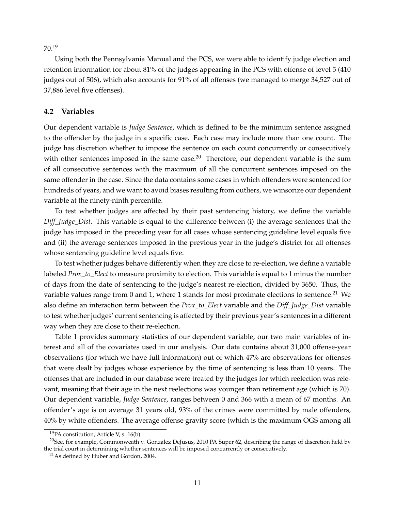70.<sup>19</sup>

Using both the Pennsylvania Manual and the PCS, we were able to identify judge election and retention information for about 81% of the judges appearing in the PCS with offense of level 5 (410 judges out of 506), which also accounts for 91% of all offenses (we managed to merge 34,527 out of 37,886 level five offenses).

#### **4.2 Variables**

Our dependent variable is *Judge Sentence*, which is defined to be the minimum sentence assigned to the offender by the judge in a specific case. Each case may include more than one count. The judge has discretion whether to impose the sentence on each count concurrently or consecutively with other sentences imposed in the same case.<sup>20</sup> Therefore, our dependent variable is the sum of all consecutive sentences with the maximum of all the concurrent sentences imposed on the same offender in the case. Since the data contains some cases in which offenders were sentenced for hundreds of years, and we want to avoid biases resulting from outliers, we winsorize our dependent variable at the ninety-ninth percentile.

To test whether judges are affected by their past sentencing history, we define the variable *Diff\_Judge\_Dist*. This variable is equal to the difference between (i) the average sentences that the judge has imposed in the preceding year for all cases whose sentencing guideline level equals five and (ii) the average sentences imposed in the previous year in the judge's district for all offenses whose sentencing guideline level equals five.

To test whether judges behave differently when they are close to re-election, we define a variable labeled *Prox\_to\_Elect* to measure proximity to election. This variable is equal to 1 minus the number of days from the date of sentencing to the judge's nearest re-election, divided by 3650. Thus, the variable values range from 0 and 1, where 1 stands for most proximate elections to sentence.<sup>21</sup> We also define an interaction term between the *Prox\_to\_Elect* variable and the *Diff\_Judge\_Dist* variable to test whether judges' current sentencing is affected by their previous year's sentences in a different way when they are close to their re-election.

Table 1 provides summary statistics of our dependent variable, our two main variables of interest and all of the covariates used in our analysis. Our data contains about 31,000 offense-year observations (for which we have full information) out of which 47% are observations for offenses that were dealt by judges whose experience by the time of sentencing is less than 10 years. The offenses that are included in our database were treated by the judges for which reelection was relevant, meaning that their age in the next reelections was younger than retirement age (which is 70). Our dependent variable, *Judge Sentence*, ranges between 0 and 366 with a mean of 67 months. An offender's age is on average 31 years old, 93% of the crimes were committed by male offenders, 40% by white offenders. The average offense gravity score (which is the maximum OGS among all

<sup>19</sup>PA constitution, Article V, s. 16(b).

<sup>&</sup>lt;sup>20</sup>See, for example, Commonweath v. Gonzalez DeJusus, 2010 PA Super 62, describing the range of discretion held by the trial court in determining whether sentences will be imposed concurrently or consecutively.

<sup>21</sup>As defined by Huber and Gordon, 2004.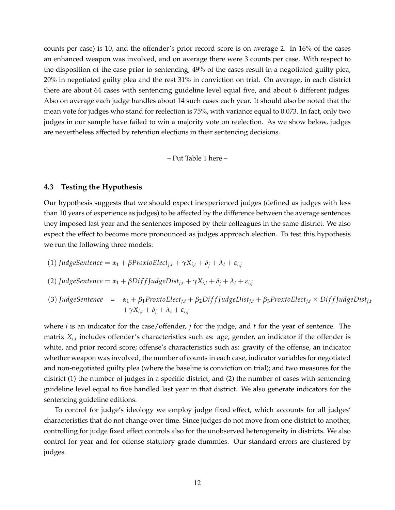counts per case) is 10, and the offender's prior record score is on average 2. In 16% of the cases an enhanced weapon was involved, and on average there were 3 counts per case. With respect to the disposition of the case prior to sentencing, 49% of the cases result in a negotiated guilty plea, 20% in negotiated guilty plea and the rest 31% in conviction on trial. On average, in each district there are about 64 cases with sentencing guideline level equal five, and about 6 different judges. Also on average each judge handles about 14 such cases each year. It should also be noted that the mean vote for judges who stand for reelection is 75%, with variance equal to 0.073. In fact, only two judges in our sample have failed to win a majority vote on reelection. As we show below, judges are nevertheless affected by retention elections in their sentencing decisions.

– Put Table 1 here –

#### **4.3 Testing the Hypothesis**

Our hypothesis suggests that we should expect inexperienced judges (defined as judges with less than 10 years of experience as judges) to be affected by the difference between the average sentences they imposed last year and the sentences imposed by their colleagues in the same district. We also expect the effect to become more pronounced as judges approach election. To test this hypothesis we run the following three models:

\n- (1) *JudgeSentence* = 
$$
\alpha_1 + \beta
$$
 ProxtoElect<sub>j,t</sub> +  $\gamma X_{i,t} + \delta_j + \lambda_t + \varepsilon_{i,j}$
\n- (2) *JudgeSentence* =  $\alpha_1 + \beta$ DiffJudgeDist<sub>j,t</sub> +  $\gamma X_{i,t} + \delta_j + \lambda_t + \varepsilon_{i,j}$
\n- (3) *JudgeSentence* =  $\alpha_1 + \beta_1$ ProxtoElect<sub>j,t</sub> +  $\beta_2$ DiffJudgeDist<sub>j,t</sub> +  $\beta_3$ ProxtoElect<sub>j,t</sub> × DiffJudgeDist<sub>j,t</sub> +  $\gamma X_{i,t} + \delta_j + \lambda_t + \varepsilon_{i,j}$
\n

where *i* is an indicator for the case/offender, *j* for the judge, and *t* for the year of sentence. The matrix *Xi*,*<sup>t</sup>* includes offender's characteristics such as: age, gender, an indicator if the offender is white, and prior record score; offense's characteristics such as: gravity of the offense, an indicator whether weapon was involved, the number of counts in each case, indicator variables for negotiated and non-negotiated guilty plea (where the baseline is conviction on trial); and two measures for the district (1) the number of judges in a specific district, and (2) the number of cases with sentencing guideline level equal to five handled last year in that district. We also generate indicators for the sentencing guideline editions.

To control for judge's ideology we employ judge fixed effect, which accounts for all judges' characteristics that do not change over time. Since judges do not move from one district to another, controlling for judge fixed effect controls also for the unobserved heterogeneity in districts. We also control for year and for offense statutory grade dummies. Our standard errors are clustered by judges.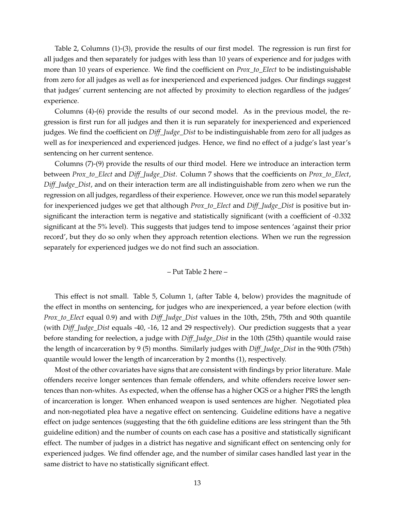Table 2, Columns (1)-(3), provide the results of our first model. The regression is run first for all judges and then separately for judges with less than 10 years of experience and for judges with more than 10 years of experience. We find the coefficient on *Prox\_to\_Elect* to be indistinguishable from zero for all judges as well as for inexperienced and experienced judges. Our findings suggest that judges' current sentencing are not affected by proximity to election regardless of the judges' experience.

Columns (4)-(6) provide the results of our second model. As in the previous model, the regression is first run for all judges and then it is run separately for inexperienced and experienced judges. We find the coefficient on *Diff\_Judge\_Dist* to be indistinguishable from zero for all judges as well as for inexperienced and experienced judges. Hence, we find no effect of a judge's last year's sentencing on her current sentence.

Columns (7)-(9) provide the results of our third model. Here we introduce an interaction term between *Prox\_to\_Elect* and *Diff\_Judge\_Dist*. Column 7 shows that the coefficients on *Prox\_to\_Elect*, *Diff\_Judge\_Dist*, and on their interaction term are all indistinguishable from zero when we run the regression on all judges, regardless of their experience. However, once we run this model separately for inexperienced judges we get that although *Prox\_to\_Elect* and *Diff\_Judge\_Dist* is positive but insignificant the interaction term is negative and statistically significant (with a coefficient of -0.332 significant at the 5% level). This suggests that judges tend to impose sentences 'against their prior record', but they do so only when they approach retention elections. When we run the regression separately for experienced judges we do not find such an association.

– Put Table 2 here –

This effect is not small. Table 5, Column 1, (after Table 4, below) provides the magnitude of the effect in months on sentencing, for judges who are inexperienced, a year before election (with *Prox\_to\_Elect* equal 0.9) and with *Diff\_Judge\_Dist* values in the 10th, 25th, 75th and 90th quantile (with *Diff\_Judge\_Dist* equals -40, -16, 12 and 29 respectively). Our prediction suggests that a year before standing for reelection, a judge with *Diff\_Judge\_Dist* in the 10th (25th) quantile would raise the length of incarceration by 9 (5) months. Similarly judges with *Diff\_Judge\_Dist* in the 90th (75th) quantile would lower the length of incarceration by 2 months (1), respectively.

Most of the other covariates have signs that are consistent with findings by prior literature. Male offenders receive longer sentences than female offenders, and white offenders receive lower sentences than non-whites. As expected, when the offense has a higher OGS or a higher PRS the length of incarceration is longer. When enhanced weapon is used sentences are higher. Negotiated plea and non-negotiated plea have a negative effect on sentencing. Guideline editions have a negative effect on judge sentences (suggesting that the 6th guideline editions are less stringent than the 5th guideline edition) and the number of counts on each case has a positive and statistically significant effect. The number of judges in a district has negative and significant effect on sentencing only for experienced judges. We find offender age, and the number of similar cases handled last year in the same district to have no statistically significant effect.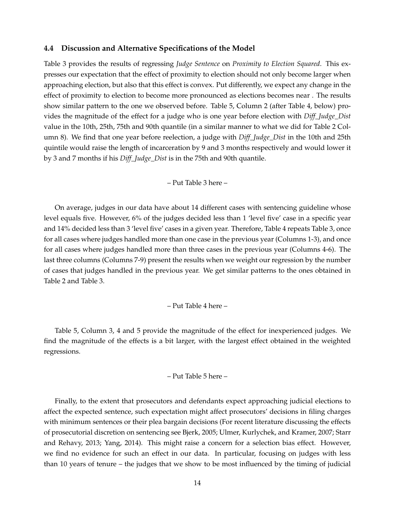#### **4.4 Discussion and Alternative Specifications of the Model**

Table 3 provides the results of regressing *Judge Sentence* on *Proximity to Election Squared*. This expresses our expectation that the effect of proximity to election should not only become larger when approaching election, but also that this effect is convex. Put differently, we expect any change in the effect of proximity to election to become more pronounced as elections becomes near . The results show similar pattern to the one we observed before. Table 5, Column 2 (after Table 4, below) provides the magnitude of the effect for a judge who is one year before election with *Diff\_Judge\_Dist* value in the 10th, 25th, 75th and 90th quantile (in a similar manner to what we did for Table 2 Column 8). We find that one year before reelection, a judge with *Diff\_Judge\_Dist* in the 10th and 25th quintile would raise the length of incarceration by 9 and 3 months respectively and would lower it by 3 and 7 months if his *Diff\_Judge\_Dist* is in the 75th and 90th quantile.

– Put Table 3 here –

On average, judges in our data have about 14 different cases with sentencing guideline whose level equals five. However, 6% of the judges decided less than 1 'level five' case in a specific year and 14% decided less than 3 'level five' cases in a given year. Therefore, Table 4 repeats Table 3, once for all cases where judges handled more than one case in the previous year (Columns 1-3), and once for all cases where judges handled more than three cases in the previous year (Columns 4-6). The last three columns (Columns 7-9) present the results when we weight our regression by the number of cases that judges handled in the previous year. We get similar patterns to the ones obtained in Table 2 and Table 3.

#### – Put Table 4 here –

Table 5, Column 3, 4 and 5 provide the magnitude of the effect for inexperienced judges. We find the magnitude of the effects is a bit larger, with the largest effect obtained in the weighted regressions.

– Put Table 5 here –

Finally, to the extent that prosecutors and defendants expect approaching judicial elections to affect the expected sentence, such expectation might affect prosecutors' decisions in filing charges with minimum sentences or their plea bargain decisions (For recent literature discussing the effects of prosecutorial discretion on sentencing see Bjerk, 2005; Ulmer, Kurlychek, and Kramer, 2007; Starr and Rehavy, 2013; Yang, 2014). This might raise a concern for a selection bias effect. However, we find no evidence for such an effect in our data. In particular, focusing on judges with less than 10 years of tenure – the judges that we show to be most influenced by the timing of judicial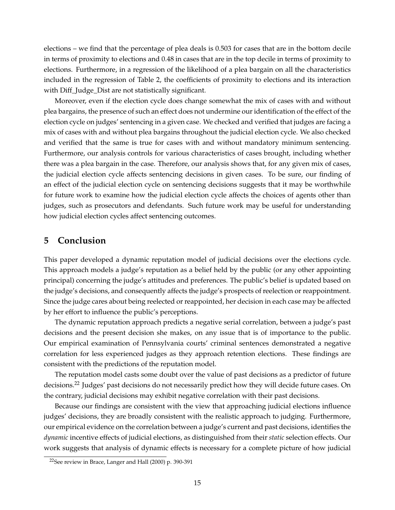elections – we find that the percentage of plea deals is 0.503 for cases that are in the bottom decile in terms of proximity to elections and 0.48 in cases that are in the top decile in terms of proximity to elections. Furthermore, in a regression of the likelihood of a plea bargain on all the characteristics included in the regression of Table 2, the coefficients of proximity to elections and its interaction with Diff\_Judge\_Dist are not statistically significant.

Moreover, even if the election cycle does change somewhat the mix of cases with and without plea bargains, the presence of such an effect does not undermine our identification of the effect of the election cycle on judges' sentencing in a given case. We checked and verified that judges are facing a mix of cases with and without plea bargains throughout the judicial election cycle. We also checked and verified that the same is true for cases with and without mandatory minimum sentencing. Furthermore, our analysis controls for various characteristics of cases brought, including whether there was a plea bargain in the case. Therefore, our analysis shows that, for any given mix of cases, the judicial election cycle affects sentencing decisions in given cases. To be sure, our finding of an effect of the judicial election cycle on sentencing decisions suggests that it may be worthwhile for future work to examine how the judicial election cycle affects the choices of agents other than judges, such as prosecutors and defendants. Such future work may be useful for understanding how judicial election cycles affect sentencing outcomes.

#### **5 Conclusion**

This paper developed a dynamic reputation model of judicial decisions over the elections cycle. This approach models a judge's reputation as a belief held by the public (or any other appointing principal) concerning the judge's attitudes and preferences. The public's belief is updated based on the judge's decisions, and consequently affects the judge's prospects of reelection or reappointment. Since the judge cares about being reelected or reappointed, her decision in each case may be affected by her effort to influence the public's perceptions.

The dynamic reputation approach predicts a negative serial correlation, between a judge's past decisions and the present decision she makes, on any issue that is of importance to the public. Our empirical examination of Pennsylvania courts' criminal sentences demonstrated a negative correlation for less experienced judges as they approach retention elections. These findings are consistent with the predictions of the reputation model.

The reputation model casts some doubt over the value of past decisions as a predictor of future decisions.<sup>22</sup> Judges' past decisions do not necessarily predict how they will decide future cases. On the contrary, judicial decisions may exhibit negative correlation with their past decisions.

Because our findings are consistent with the view that approaching judicial elections influence judges' decisions, they are broadly consistent with the realistic approach to judging. Furthermore, our empirical evidence on the correlation between a judge's current and past decisions, identifies the *dynamic* incentive effects of judicial elections, as distinguished from their *static* selection effects. Our work suggests that analysis of dynamic effects is necessary for a complete picture of how judicial

<sup>22</sup>See review in Brace, Langer and Hall (2000) p. 390-391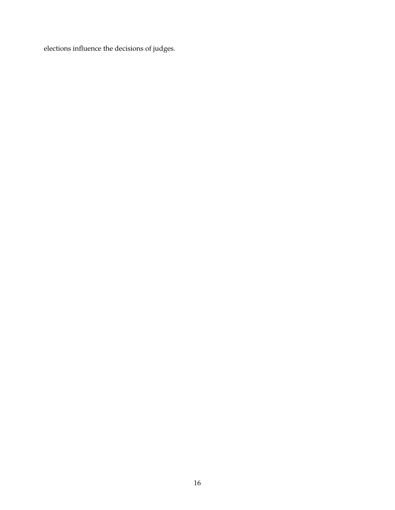elections influence the decisions of judges.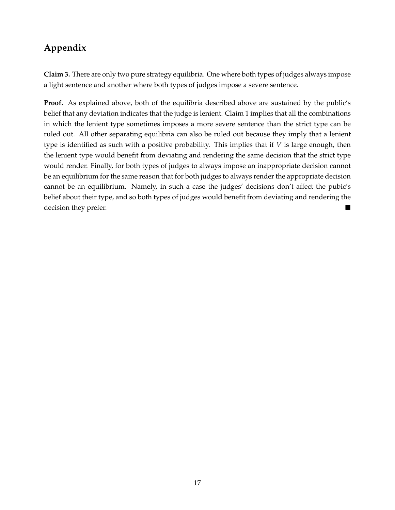## **Appendix**

**Claim 3.** There are only two pure strategy equilibria. One where both types of judges always impose a light sentence and another where both types of judges impose a severe sentence.

**Proof.** As explained above, both of the equilibria described above are sustained by the public's belief that any deviation indicates that the judge is lenient. Claim 1 implies that all the combinations in which the lenient type sometimes imposes a more severe sentence than the strict type can be ruled out. All other separating equilibria can also be ruled out because they imply that a lenient type is identified as such with a positive probability. This implies that if *V* is large enough, then the lenient type would benefit from deviating and rendering the same decision that the strict type would render. Finally, for both types of judges to always impose an inappropriate decision cannot be an equilibrium for the same reason that for both judges to always render the appropriate decision cannot be an equilibrium. Namely, in such a case the judges' decisions don't affect the pubic's belief about their type, and so both types of judges would benefit from deviating and rendering the decision they prefer.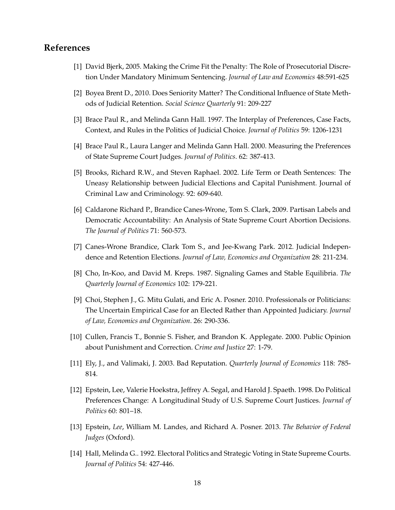#### **References**

- [1] David Bjerk, 2005. Making the Crime Fit the Penalty: The Role of Prosecutorial Discretion Under Mandatory Minimum Sentencing. *Journal of Law and Economics* 48:591-625
- [2] Boyea Brent D., 2010. Does Seniority Matter? The Conditional Influence of State Methods of Judicial Retention. *Social Science Quarterly* 91: 209-227
- [3] Brace Paul R., and Melinda Gann Hall. 1997. The Interplay of Preferences, Case Facts, Context, and Rules in the Politics of Judicial Choice. *Journal of Politics* 59: 1206-1231
- [4] Brace Paul R., Laura Langer and Melinda Gann Hall. 2000. Measuring the Preferences of State Supreme Court Judges. *Journal of Politics*. 62: 387-413.
- [5] Brooks, Richard R.W., and Steven Raphael. 2002. Life Term or Death Sentences: The Uneasy Relationship between Judicial Elections and Capital Punishment. Journal of Criminal Law and Criminology. 92: 609-640.
- [6] Caldarone Richard P., Brandice Canes-Wrone, Tom S. Clark, 2009. Partisan Labels and Democratic Accountability: An Analysis of State Supreme Court Abortion Decisions. *The Journal of Politics* 71: 560-573.
- [7] Canes-Wrone Brandice, Clark Tom S., and Jee-Kwang Park. 2012. Judicial Independence and Retention Elections. *Journal of Law, Economics and Organization* 28: 211-234.
- [8] Cho, In-Koo, and David M. Kreps. 1987. Signaling Games and Stable Equilibria. *The Quarterly Journal of Economics* 102: 179-221.
- [9] Choi, Stephen J., G. Mitu Gulati, and Eric A. Posner. 2010. Professionals or Politicians: The Uncertain Empirical Case for an Elected Rather than Appointed Judiciary. *Journal of Law, Economics and Organization*. 26: 290-336.
- [10] Cullen, Francis T., Bonnie S. Fisher, and Brandon K. Applegate. 2000. Public Opinion about Punishment and Correction. *Crime and Justice* 27: 1-79.
- [11] Ely, J., and Valimaki, J. 2003. Bad Reputation. *Quarterly Journal of Economics* 118: 785- 814.
- [12] Epstein, Lee, Valerie Hoekstra, Jeffrey A. Segal, and Harold J. Spaeth. 1998. Do Political Preferences Change: A Longitudinal Study of U.S. Supreme Court Justices. *Journal of Politics* 60: 801–18.
- [13] Epstein, *Lee*, William M. Landes, and Richard A. Posner. 2013. *The Behavior of Federal Judges* (Oxford).
- [14] Hall, Melinda G.. 1992. Electoral Politics and Strategic Voting in State Supreme Courts. *Journal of Politics* 54: 427-446.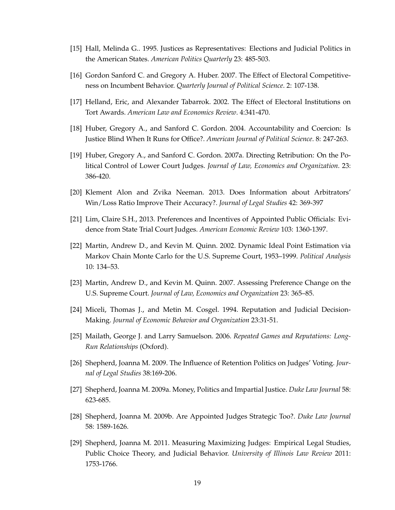- [15] Hall, Melinda G.. 1995. Justices as Representatives: Elections and Judicial Politics in the American States. *American Politics Quarterly* 23: 485-503.
- [16] Gordon Sanford C. and Gregory A. Huber. 2007. The Effect of Electoral Competitiveness on Incumbent Behavior. *Quarterly Journal of Political Science*. 2: 107-138.
- [17] Helland, Eric, and Alexander Tabarrok. 2002. The Effect of Electoral Institutions on Tort Awards. *American Law and Economics Review*. 4:341-470.
- [18] Huber, Gregory A., and Sanford C. Gordon. 2004. Accountability and Coercion: Is Justice Blind When It Runs for Office?. *American Journal of Political Science*. 8: 247-263.
- [19] Huber, Gregory A., and Sanford C. Gordon. 2007a. Directing Retribution: On the Political Control of Lower Court Judges. *Journal of Law, Economics and Organization*. 23: 386-420.
- [20] Klement Alon and Zvika Neeman. 2013. Does Information about Arbitrators' Win/Loss Ratio Improve Their Accuracy?. *Journal of Legal Studies* 42: 369-397
- [21] Lim, Claire S.H., 2013. Preferences and Incentives of Appointed Public Officials: Evidence from State Trial Court Judges. *American Economic Review* 103: 1360-1397.
- [22] Martin, Andrew D., and Kevin M. Quinn. 2002. Dynamic Ideal Point Estimation via Markov Chain Monte Carlo for the U.S. Supreme Court, 1953–1999. *Political Analysis* 10: 134–53.
- [23] Martin, Andrew D., and Kevin M. Quinn. 2007. Assessing Preference Change on the U.S. Supreme Court. *Journal of Law, Economics and Organization* 23: 365–85.
- [24] Miceli, Thomas J., and Metin M. Cosgel. 1994. Reputation and Judicial Decision-Making. *Journal of Economic Behavior and Organization* 23:31-51.
- [25] Mailath, George J. and Larry Samuelson. 2006. *Repeated Games and Reputations: Long-Run Relationships* (Oxford).
- [26] Shepherd, Joanna M. 2009. The Influence of Retention Politics on Judges' Voting. *Journal of Legal Studies* 38:169-206.
- [27] Shepherd, Joanna M. 2009a. Money, Politics and Impartial Justice. *Duke Law Journal* 58: 623-685.
- [28] Shepherd, Joanna M. 2009b. Are Appointed Judges Strategic Too?. *Duke Law Journal* 58: 1589-1626.
- [29] Shepherd, Joanna M. 2011. Measuring Maximizing Judges: Empirical Legal Studies, Public Choice Theory, and Judicial Behavior. *University of Illinois Law Review* 2011: 1753-1766.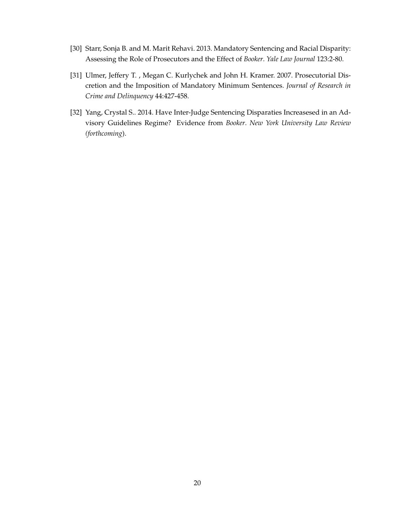- [30] Starr, Sonja B. and M. Marit Rehavi. 2013. Mandatory Sentencing and Racial Disparity: Assessing the Role of Prosecutors and the Effect of *Booker*. *Yale Law Journal* 123:2-80.
- [31] Ulmer, Jeffery T. , Megan C. Kurlychek and John H. Kramer. 2007. Prosecutorial Discretion and the Imposition of Mandatory Minimum Sentences. *Journal of Research in Crime and Delinquency* 44:427-458.
- [32] Yang, Crystal S.. 2014. Have Inter-Judge Sentencing Disparaties Increasesed in an Advisory Guidelines Regime? Evidence from *Booker*. *New York University Law Review (forthcoming*).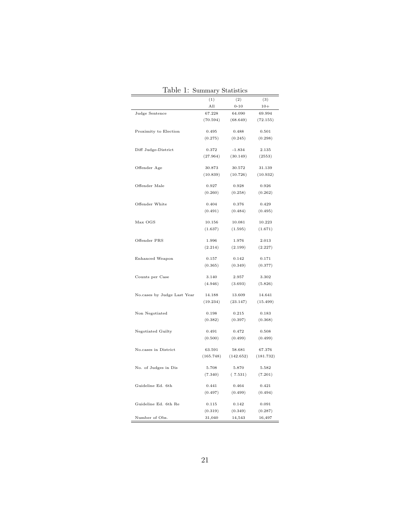|                             |           | ,                                |           |
|-----------------------------|-----------|----------------------------------|-----------|
|                             | (1)       | (2)                              | (3)       |
|                             | All       | $0 - 10$                         | $10+$     |
| Judge Sentence              | 67.228    | 64.090                           | 69.994    |
|                             |           | $(70.594)$ $(68.649)$ $(72.155)$ |           |
| Proximity to Election       | 0.495     | 0.488                            | 0.501     |
|                             | (0.275)   | (0.245)                          | (0.298)   |
|                             |           |                                  |           |
| Diff Judge-District         | 0.372     | $-1.834$                         | 2.135     |
|                             | (27.964)  | (30.149)                         | (2553)    |
| Offender Age                | 30.873    | 30.572                           | 31.139    |
|                             | (10.839)  | (10.726)                         | (10.932)  |
|                             |           |                                  |           |
| Offender Male               | 0.927     | 0.928                            | 0.926     |
|                             | (0.260)   | (0.258)                          | (0.262)   |
| Offender White              | 0.404     | 0.376                            | 0.429     |
|                             | (0.491)   | (0.484)                          | (0.495)   |
|                             |           |                                  |           |
| Max OGS                     | 10.156    | 10.081                           | 10.223    |
|                             | (1.637)   | (1.595)                          | (1.671)   |
| Offender PRS                | 1.996     | 1.976                            | 2.013     |
|                             | (2.214)   | (2.199)                          | (2.227)   |
|                             |           |                                  |           |
| Enhanced Weapon             | 0.157     | 0.142                            | 0.171     |
|                             |           | $(0.365)$ $(0.349)$ $(0.377)$    |           |
| Counts per Case             | 3.140     | 2.957                            | 3.302     |
|                             |           | $(4.946)$ $(3.693)$              | (5.826)   |
|                             |           |                                  |           |
| No.cases by Judge Last Year | 14.188    | 13.609                           | 14.641    |
|                             | (19.234)  | (23.147)                         | (15.499)  |
| Non Negotiated              | 0.198     | 0.215                            | 0.183     |
|                             | (0.382)   | (0.397)                          | (0.368)   |
|                             |           |                                  |           |
| Negotiated Guilty           | 0.491     | 0.472                            | 0.508     |
|                             | (0.500)   | (0.499)                          | (0.499)   |
| No.cases in District        | 63.591    | 58.681                           | 67.376    |
|                             | (165.748) | (142.652)                        | (181.732) |
|                             |           |                                  |           |
| No. of Judges in Dis        | 5.708     | 5.870                            | 5.582     |
|                             | (7.340)   | (7.531)                          | (7.201)   |
| Guideline Ed. 6th           | 0.441     | 0.464                            | 0.421     |
|                             | (0.497)   | (0.499)                          | (0.494)   |
|                             |           |                                  |           |
| Guideline Ed. 6th Re        | 0.115     | 0.142                            | 0.091     |
|                             | (0.319)   | (0.349)                          | (0.287)   |
| Number of Obs.              | 31,040    | 14,543                           | 16,497    |

Table 1: Summary Statistics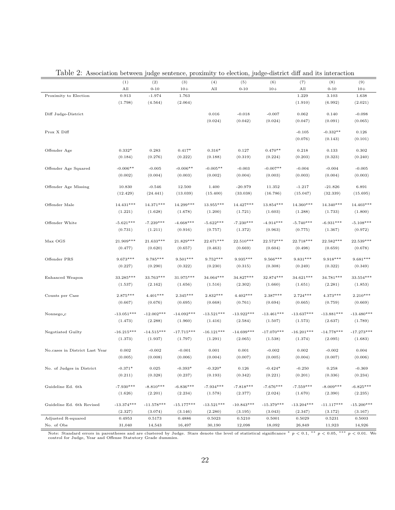|                                |              | ັ້ນສູນແອ     |              |              | $\mathsf{u}, \mathsf{u}$ |              |              |              |              |
|--------------------------------|--------------|--------------|--------------|--------------|--------------------------|--------------|--------------|--------------|--------------|
|                                | (1)          | (2)          | (3)          | (4)          | (5)                      | (6)          | (7)          | (8)          | (9)          |
|                                | All          | $0 - 10$     | $10+$        | All          | $0 - 10$                 | $10+$        | All          | $0 - 10$     | $10+$        |
| Proximity to Election          | 0.913        | $-1.974$     | 1.763        |              |                          |              | 1.229        | 3.103        | 1.638        |
|                                | (1.798)      | (4.564)      | (2.064)      |              |                          |              | (1.910)      | (6.992)      | (2.021)      |
| Diff Judge-District            |              |              |              | 0.016        | $-0.018$                 | $-0.007$     | 0.062        | 0.140        | $-0.098$     |
|                                |              |              |              | (0.024)      | (0.042)                  | (0.024)      | (0.047)      | (0.091)      | (0.065)      |
|                                |              |              |              |              |                          |              |              |              |              |
| Prox X Diff                    |              |              |              |              |                          |              | $-0.105$     | $-0.332**$   | 0.126        |
|                                |              |              |              |              |                          |              | (0.076)      | (0.143)      | (0.101)      |
| Offender Age                   | $0.332*$     | 0.283        | $0.417*$     | $0.316*$     | 0.127                    | $0.470**$    | 0.218        | 0.133        | 0.302        |
|                                | (0.184)      | (0.276)      | (0.222)      | (0.188)      | (0.319)                  | (0.224)      | (0.203)      | (0.323)      | (0.240)      |
| Offender Age Squared           | $-0.006**$   | $-0.005$     | $-0.006**$   | $-0.005**$   | $-0.003$                 | $-0.007**$   | $-0.004$     | $-0.004$     | $-0.005$     |
|                                | (0.002)      | (0.004)      | (0.003)      | (0.002)      | (0.004)                  | (0.003)      | (0.003)      | (0.004)      | (0.003)      |
|                                |              |              |              |              |                          |              |              |              |              |
| Offender Age Missing           | 10.830       | $-0.546$     | 12.500       | 1.400        | $-20.979$                | 11.352       | $-1.217$     | $-21.826$    | 6.891        |
|                                | (12.429)     | (24.441)     | (13.039)     | (15.400)     | (33.038)                 | (16.786)     | (15.047)     | (32.339)     | (15.695)     |
| Offender Male                  | 14.431***    | 14.371***    | 14.299***    | 13.955***    | 14.427***                | 13.854 ***   | 14.360***    | 14.340***    | 14.403***    |
|                                | (1.221)      | (1.628)      | (1.678)      | (1.200)      | (1.721)                  | (1.603)      | (1.288)      | (1.733)      | (1.800)      |
|                                |              |              |              |              |                          |              |              |              |              |
| Offender White                 | $-5.621***$  | $-7.239***$  | $-4.668***$  | $-5.622***$  | $-7.230***$              | $-4.914***$  | $-5.740***$  | $-6.931***$  | $-5.108***$  |
|                                | (0.731)      | (1.211)      | (0.916)      | (0.757)      | (1.372)                  | (0.963)      | (0.775)      | (1.367)      | (0.972)      |
| Max OGS                        | 21.909***    | 21.633***    | 21.829***    | 22.671***    | 22.510***                | 22.572***    | 22.718***    | 22.582***    | 22.539***    |
|                                | (0.477)      | (0.620)      | (0.657)      | (0.463)      | (0.669)                  | (0.604)      | (0.498)      | (0.659)      | (0.678)      |
|                                |              |              |              |              |                          |              |              |              |              |
| Offender PRS                   | $9.673***$   | 9.785***     | $9.501***$   | $9.752***$   | $9.935***$               | $9.566***$   | $9.831***$   | $9.918***$   | $9.681***$   |
|                                | (0.227)      | (0.290)      | (0.322)      | (0.230)      | (0.315)                  | (0.308)      | (0.249)      | (0.322)      | (0.349)      |
| Enhanced Weapon                | 33.285***    | 33.763***    | 31.975***    | 34.064***    | 34.827***                | 32.874 ***   | 34.621***    | 34.781***    | 33.554 ***   |
|                                | (1.537)      | (2.162)      | (1.656)      | (1.516)      | (2.302)                  | (1.660)      | (1.651)      | (2.281)      | (1.853)      |
| Counts per Case                | $2.875***$   | $4.401***$   | $2.345***$   | $2.832***$   | $4.402***$               | 2.387***     | $2.724***$   | $4.373***$   | $2.210***$   |
|                                | (0.667)      | (0.676)      | (0.695)      | (0.668)      | (0.761)                  | (0.694)      | (0.665)      | (0.759)      | (0.669)      |
| Nonnego <sub>-</sub> c         | $-13.051***$ | $-12.002***$ | $-14.092***$ | $-13.521***$ | $-13.922***$             | $-13.461***$ | $-13.637***$ | $-13.881***$ | $-13.480***$ |
|                                | (1.473)      | (2.288)      | (1.960)      | (1.416)      | (2.584)                  | (1.507)      | (1.573)      | (2.637)      | (1.789)      |
|                                |              |              |              |              |                          |              |              |              |              |
| Negotiated Guilty              | $-16.215***$ | $-14.515***$ | $-17.715***$ | $-16.121***$ | $-14.699***$             | $-17.070***$ | $-16.201***$ | $-14.778***$ | $-17.273***$ |
|                                | (1.373)      | (1.937)      | (1.797)      | (1.291)      | (2.065)                  | (1.538)      | (1.374)      | (2.095)      | (1.683)      |
| No.cases in District Last Year | 0.002        | $-0.002$     | $-0.001$     | 0.001        | 0.001                    | $-0.002$     | 0.002        | $-0.002$     | 0.004        |
|                                | (0.005)      | (0.008)      | (0.006)      | (0.004)      | (0.007)                  | (0.005)      | (0.004)      | (0.007)      | (0.006)      |
|                                |              |              |              |              |                          |              |              |              |              |
| No. of Judges in District      | $-0.371*$    | $\,0.025\,$  | $-0.393*$    | $-0.320*$    | 0.126                    | $-0.424*$    | $-0.250$     | 0.258        | $-0.369$     |
|                                | (0.211)      | (0.328)      | (0.237)      | (0.193)      | (0.342)                  | (0.221)      | (0.201)      | (0.336)      | (0.234)      |
| Guideline Ed. 6th              | $-7.930***$  | $-8.810***$  | $-6.836***$  | $-7.934***$  | $-7.818***$              | $-7.676***$  | $-7.559***$  | $-8.009***$  | $-6.825***$  |
|                                | (1.626)      | (2.201)      | (2.234)      | (1.578)      | (2.377)                  | (2.024)      | (1.670)      | (2.390)      | (2.235)      |
| Guideline Ed. 6th Revised      | $-13.374***$ | $-11.578***$ | $-15.177***$ | $-13.521***$ | $-10.843***$             | $-15.379***$ | $-13.204***$ | $-11.117***$ | $-15.200***$ |
|                                | (2.327)      | (3.074)      | (3.146)      | (2.280)      | (3.195)                  | (3.043)      | (2.347)      | (3.172)      | (3.167)      |
| Adjusted R-squared             | 0.4953       | 0.5173       | 0.4886       | 0.5023       | 0.5210                   | 0.5001       | 0.5029       | 0.5231       | 0.5003       |
| No. of Obs                     | 31,040       | 14,543       | 16,497       | 30,190       | 12,098                   | 18,092       | 26,849       | 11,923       | 14,926       |

Table 2: Association between judge sentence, proximity to election, judge-district diff and its interaction

Note: Standard errors in parentheses and are clustered by Judge. Stars denote the level of statistical significance \*  $p < 0.1,$  \*\*  $p < 0.05,$  \*\*\*  $p < 0.01.$  We<br>control for Judge, Year and Offense Statutory Grade dummies.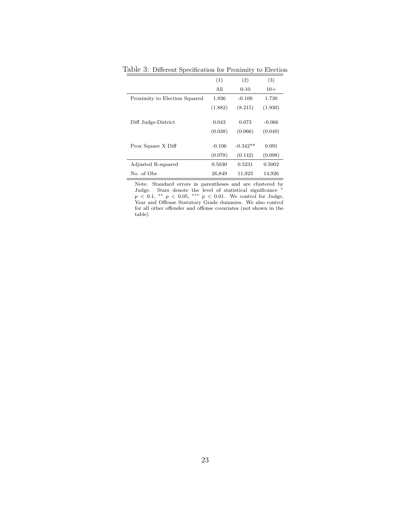|                               | (1)      | (2)        | (3)      |
|-------------------------------|----------|------------|----------|
|                               | All      | $0 - 10$   | $10+$    |
| Proximity to Election Squared | 1.936    | $-0.100$   | 1.730    |
|                               | (1.882)  | (8.215)    | (1.930)  |
|                               |          |            |          |
| Diff Judge-District           | 0.043    | 0.073      | $-0.066$ |
|                               | (0.038)  | (0.066)    | (0.049)  |
|                               |          |            |          |
| Prox Square X Diff            | $-0.106$ | $-0.342**$ | 0.091    |
|                               | (0.078)  | (0.142)    | (0.098)  |
| Adjusted R-squared            | 0.5030   | 0.5231     | 0.5002   |
| No. of Obs.                   | 26,849   | 11,923     | 14,926   |

Table  $\underline{3:}$  Different Specification for Proximity to Election

Note: Standard errors in parentheses and are clustered by Judge. Stars denote the level of statistical significance  $*$  $p < 0.1,$  \*\*  $p < 0.05,$  \*\*\*  $p < 0.01$ . We control for Judge, Year and Offense Statutory Grade dummies. We also control for all other offender and offense covariates (not shown in the table)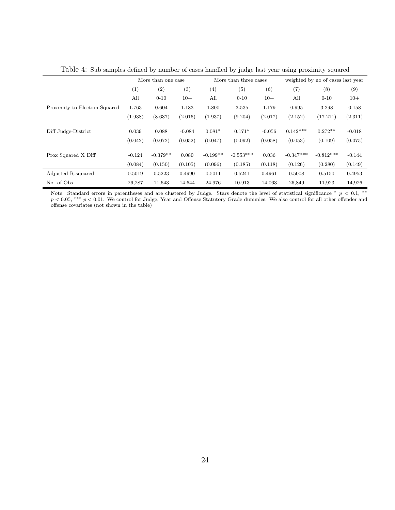| Laste 1. Sas samples demned sy mamser of cases mandred sy judge has year asing promintly squared |                    |            |          |            |                       |          |             |                                   |          |  |
|--------------------------------------------------------------------------------------------------|--------------------|------------|----------|------------|-----------------------|----------|-------------|-----------------------------------|----------|--|
|                                                                                                  | More than one case |            |          |            | More than three cases |          |             | weighted by no of cases last year |          |  |
|                                                                                                  | (1)                | (2)        | (3)      | (4)        | (5)                   | (6)      | (7)         | (8)                               | (9)      |  |
|                                                                                                  | All                | $0 - 10$   | $10+$    | All        | $0 - 10$              | $10+$    | All         | $0 - 10$                          | $10+$    |  |
| Proximity to Election Squared                                                                    | 1.763              | 0.604      | 1.183    | 1.800      | 3.535                 | 1.179    | 0.995       | 3.298                             | 0.158    |  |
|                                                                                                  | (1.938)            | (8.637)    | (2.016)  | (1.937)    | (9.204)               | (2.017)  | (2.152)     | (17.211)                          | (2.311)  |  |
|                                                                                                  |                    |            |          |            |                       |          |             |                                   |          |  |
| Diff Judge-District                                                                              | 0.039              | 0.088      | $-0.084$ | $0.081*$   | $0.171*$              | $-0.056$ | $0.142***$  | $0.272**$                         | $-0.018$ |  |
|                                                                                                  | (0.042)            | (0.072)    | (0.052)  | (0.047)    | (0.092)               | (0.058)  | (0.053)     | (0.109)                           | (0.075)  |  |
|                                                                                                  |                    |            |          |            |                       |          |             |                                   |          |  |
| Prox Squared X Diff                                                                              | $-0.124$           | $-0.379**$ | 0.080    | $-0.199**$ | $-0.553***$           | 0.036    | $-0.347***$ | $-0.812***$                       | $-0.144$ |  |
|                                                                                                  | (0.084)            | (0.150)    | (0.105)  | (0.096)    | (0.185)               | (0.118)  | (0.126)     | (0.280)                           | (0.149)  |  |
| Adjusted R-squared                                                                               | 0.5019             | 0.5223     | 0.4990   | 0.5011     | 0.5241                | 0.4961   | 0.5008      | 0.5150                            | 0.4953   |  |
| No. of Obs                                                                                       | 26,287             | 11.643     | 14.644   | 24,976     | 10,913                | 14.063   | 26,849      | 11,923                            | 14,926   |  |

Table 4: Sub samples defined by number of cases handled by judge last year using proximity squared

Note: Standard errors in parentheses and are clustered by Judge. Stars denote the level of statistical significance \*  $p < 0.1$ , \*\* *p* < 0.05, \*\*\* *p* < 0.01. We control for Judge, Year and Offense Statutory Grade dummies. We also control for all other offender and offense covariates (not shown in the table)